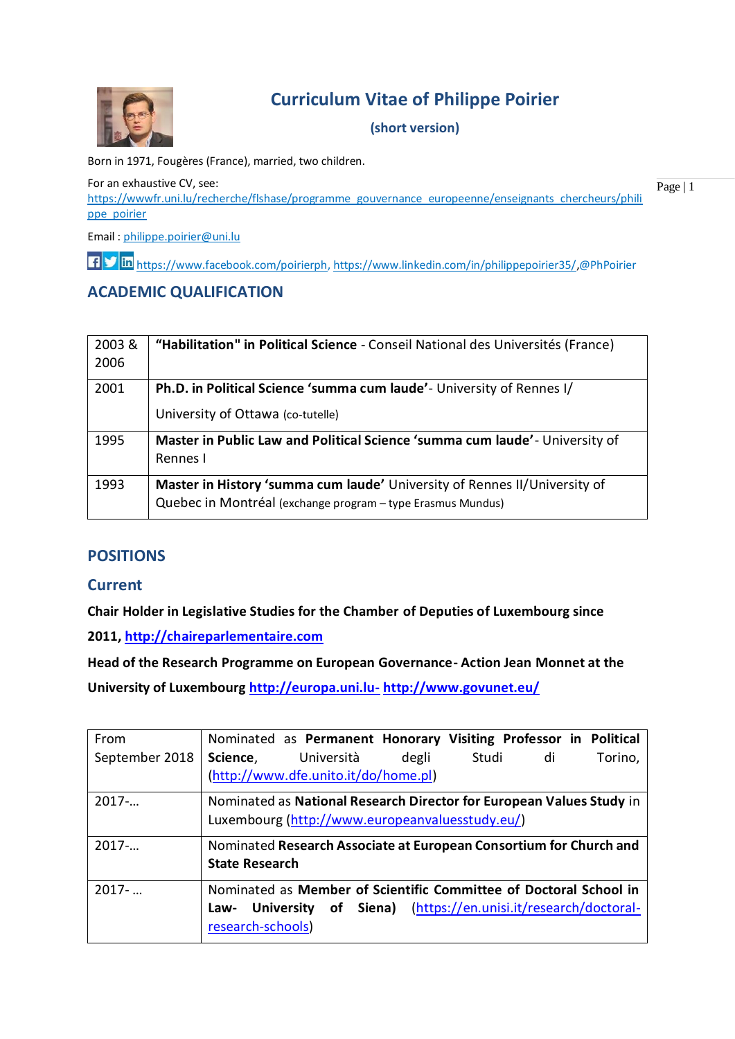

# **Curriculum Vitae of Philippe Poirier**

### **(short version)**

Born in 1971, Fougères (France), married, two children.

For an exhaustive CV, see: [https://wwwfr.uni.lu/recherche/flshase/programme\\_gouvernance\\_europeenne/enseignants\\_chercheurs/phili](https://wwwfr.uni.lu/recherche/flshase/programme_gouvernance_europeenne/enseignants_chercheurs/philippe_poirier) [ppe\\_poirier](https://wwwfr.uni.lu/recherche/flshase/programme_gouvernance_europeenne/enseignants_chercheurs/philippe_poirier)

Email : [philippe.poirier@uni.lu](mailto:philippe.poirier@uni.lu)

[https://www.facebook.com/poirierph,](https://www.facebook.com/poirierph) [https://www.linkedin.com/in/philippepoirier35/,](https://www.linkedin.com/in/philippepoirier35/)@PhPoirier

# **ACADEMIC QUALIFICATION**

| 2003&<br>2006 | "Habilitation" in Political Science - Conseil National des Universités (France)                                                          |
|---------------|------------------------------------------------------------------------------------------------------------------------------------------|
| 2001          | Ph.D. in Political Science 'summa cum laude' - University of Rennes I/                                                                   |
|               | University of Ottawa (co-tutelle)                                                                                                        |
| 1995          | Master in Public Law and Political Science 'summa cum laude' - University of<br>Rennes I                                                 |
| 1993          | Master in History 'summa cum laude' University of Rennes II/University of<br>Quebec in Montréal (exchange program - type Erasmus Mundus) |

# **POSITIONS**

#### **Current**

**Chair Holder in Legislative Studies for the Chamber of Deputies of Luxembourg since**

**2011, [http://chaireparlementaire.com](http://chaireparlementaire.com/)**

**Head of the Research Programme on European Governance- Action Jean Monnet at the**

**University of Luxembourg [http://europa.uni.lu-](http://europa.uni.lu-/) <http://www.govunet.eu/>**

| From           | Nominated as Permanent Honorary Visiting Professor in Political      |  |  |  |  |
|----------------|----------------------------------------------------------------------|--|--|--|--|
| September 2018 | Università<br>Studi<br>di<br>Science,<br>degli<br>Torino,            |  |  |  |  |
|                | (http://www.dfe.unito.it/do/home.pl)                                 |  |  |  |  |
| $2017-$        | Nominated as National Research Director for European Values Study in |  |  |  |  |
|                | Luxembourg (http://www.europeanvaluesstudy.eu/)                      |  |  |  |  |
| $2017-$        | Nominated Research Associate at European Consortium for Church and   |  |  |  |  |
|                | <b>State Research</b>                                                |  |  |  |  |
| $2017 - $      | Nominated as Member of Scientific Committee of Doctoral School in    |  |  |  |  |
|                | of Siena) (https://en.unisi.it/research/doctoral-<br>Law- University |  |  |  |  |
|                | research-schools)                                                    |  |  |  |  |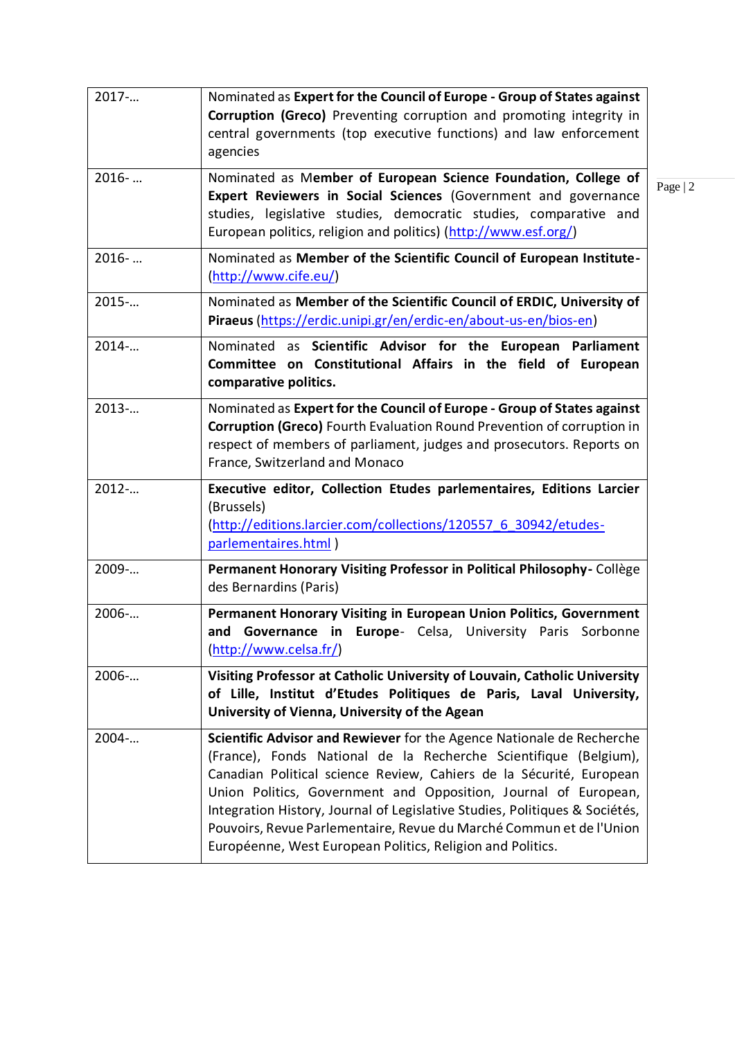| 2017     | Nominated as Expert for the Council of Europe - Group of States against<br>Corruption (Greco) Preventing corruption and promoting integrity in<br>central governments (top executive functions) and law enforcement<br>agencies                                                                                                                                                                                                                                                                         |           |
|----------|---------------------------------------------------------------------------------------------------------------------------------------------------------------------------------------------------------------------------------------------------------------------------------------------------------------------------------------------------------------------------------------------------------------------------------------------------------------------------------------------------------|-----------|
| $2016-$  | Nominated as Member of European Science Foundation, College of<br>Expert Reviewers in Social Sciences (Government and governance<br>studies, legislative studies, democratic studies, comparative and<br>European politics, religion and politics) (http://www.esf.org/)                                                                                                                                                                                                                                | Page $ 2$ |
| $2016-$  | Nominated as Member of the Scientific Council of European Institute-<br>(http://www.cife.eu/)                                                                                                                                                                                                                                                                                                                                                                                                           |           |
| 2015     | Nominated as Member of the Scientific Council of ERDIC, University of<br>Piraeus (https://erdic.unipi.gr/en/erdic-en/about-us-en/bios-en)                                                                                                                                                                                                                                                                                                                                                               |           |
| 2014     | Nominated as Scientific Advisor for the European Parliament<br>Committee on Constitutional Affairs in the field of European<br>comparative politics.                                                                                                                                                                                                                                                                                                                                                    |           |
| 2013     | Nominated as Expert for the Council of Europe - Group of States against<br><b>Corruption (Greco)</b> Fourth Evaluation Round Prevention of corruption in<br>respect of members of parliament, judges and prosecutors. Reports on<br>France, Switzerland and Monaco                                                                                                                                                                                                                                      |           |
| 2012-    | Executive editor, Collection Etudes parlementaires, Editions Larcier<br>(Brussels)<br>(http://editions.larcier.com/collections/120557 6 30942/etudes-<br>parlementaires.html)                                                                                                                                                                                                                                                                                                                           |           |
| 2009-    | Permanent Honorary Visiting Professor in Political Philosophy-Collège<br>des Bernardins (Paris)                                                                                                                                                                                                                                                                                                                                                                                                         |           |
| 2006-    | Permanent Honorary Visiting in European Union Politics, Government<br>and Governance in Europe- Celsa, University Paris Sorbonne<br>(http://www.celsa.fr/)                                                                                                                                                                                                                                                                                                                                              |           |
| 2006-    | Visiting Professor at Catholic University of Louvain, Catholic University<br>of Lille, Institut d'Etudes Politiques de Paris, Laval University,<br>University of Vienna, University of the Agean                                                                                                                                                                                                                                                                                                        |           |
| $2004$ - | Scientific Advisor and Rewiever for the Agence Nationale de Recherche<br>(France), Fonds National de la Recherche Scientifique (Belgium),<br>Canadian Political science Review, Cahiers de la Sécurité, European<br>Union Politics, Government and Opposition, Journal of European,<br>Integration History, Journal of Legislative Studies, Politiques & Sociétés,<br>Pouvoirs, Revue Parlementaire, Revue du Marché Commun et de l'Union<br>Européenne, West European Politics, Religion and Politics. |           |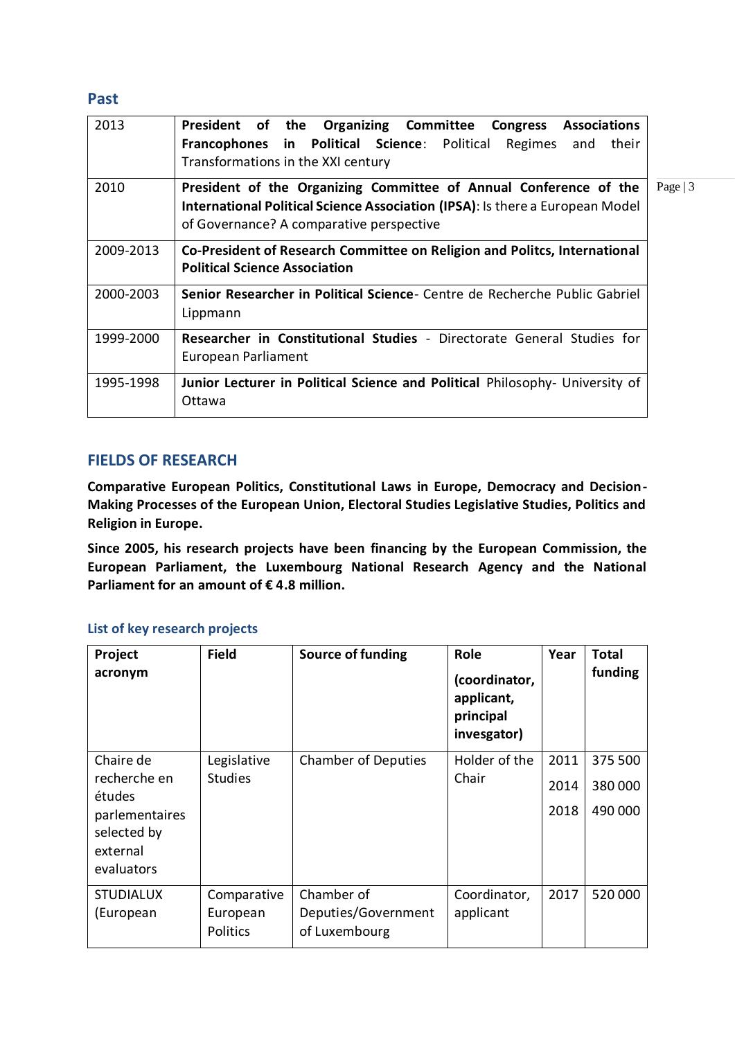### **Past**

| 2013      | President of the<br><b>Organizing Committee</b><br><b>Congress Associations</b><br>Francophones in Political Science: Political<br>Regimes<br>their<br>and<br>Transformations in the XXI century            |  |  |  |  |
|-----------|-------------------------------------------------------------------------------------------------------------------------------------------------------------------------------------------------------------|--|--|--|--|
| 2010      | Page $ 3$<br>President of the Organizing Committee of Annual Conference of the<br>International Political Science Association (IPSA): Is there a European Model<br>of Governance? A comparative perspective |  |  |  |  |
| 2009-2013 | <b>Co-President of Research Committee on Religion and Politcs, International</b><br><b>Political Science Association</b>                                                                                    |  |  |  |  |
| 2000-2003 | Senior Researcher in Political Science- Centre de Recherche Public Gabriel<br>Lippmann                                                                                                                      |  |  |  |  |
| 1999-2000 | Researcher in Constitutional Studies - Directorate General Studies for<br>European Parliament                                                                                                               |  |  |  |  |
| 1995-1998 | Junior Lecturer in Political Science and Political Philosophy- University of<br>Ottawa                                                                                                                      |  |  |  |  |

### **FIELDS OF RESEARCH**

**Comparative European Politics, Constitutional Laws in Europe, Democracy and Decision-Making Processes of the European Union, Electoral Studies Legislative Studies, Politics and Religion in Europe.**

**Since 2005, his research projects have been financing by the European Commission, the European Parliament, the Luxembourg National Research Agency and the National Parliament for an amount of € 4.8 million.**

#### **List of key research projects**

| Project<br>acronym                                                                             | <b>Field</b>                               | Source of funding                                  | Role<br>(coordinator,<br>applicant,<br>principal<br>invesgator) | Year                 | <b>Total</b><br>funding       |
|------------------------------------------------------------------------------------------------|--------------------------------------------|----------------------------------------------------|-----------------------------------------------------------------|----------------------|-------------------------------|
| Chaire de<br>recherche en<br>études<br>parlementaires<br>selected by<br>external<br>evaluators | Legislative<br><b>Studies</b>              | <b>Chamber of Deputies</b>                         | Holder of the<br>Chair                                          | 2011<br>2014<br>2018 | 375 500<br>380 000<br>490 000 |
| <b>STUDIALUX</b><br>(European                                                                  | Comparative<br>European<br><b>Politics</b> | Chamber of<br>Deputies/Government<br>of Luxembourg | Coordinator,<br>applicant                                       | 2017                 | 520 000                       |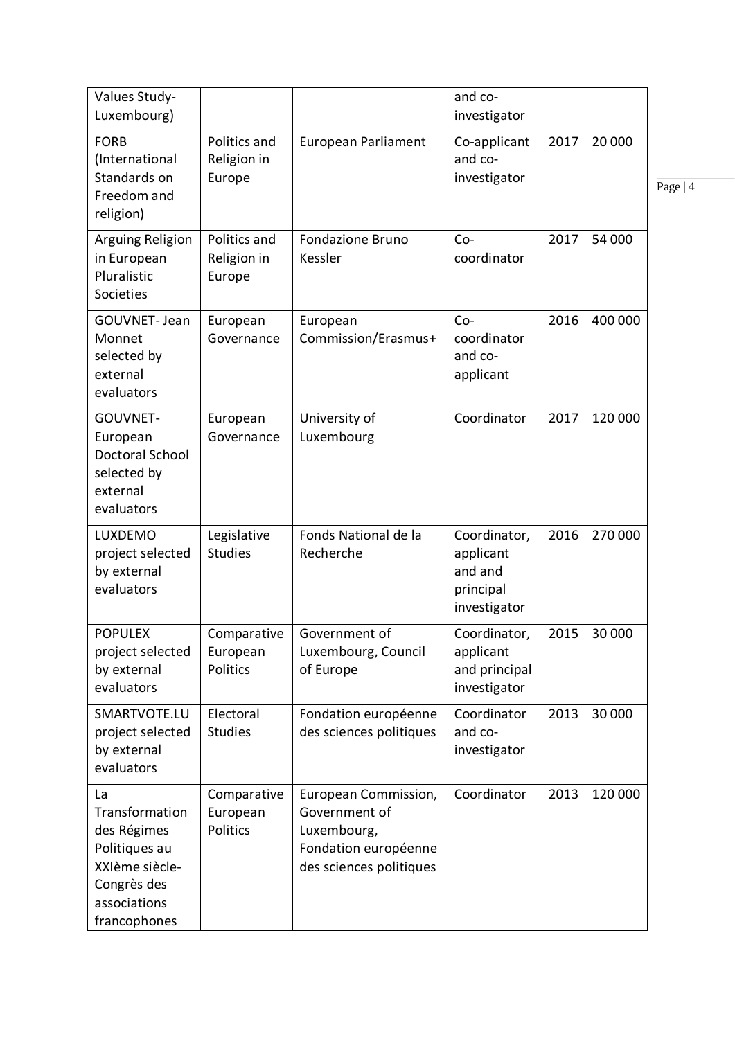| Values Study-<br>Luxembourg)                                                                                          |                                       |                                                                                                         | and co-<br>investigator                                           |      |         |           |
|-----------------------------------------------------------------------------------------------------------------------|---------------------------------------|---------------------------------------------------------------------------------------------------------|-------------------------------------------------------------------|------|---------|-----------|
| <b>FORB</b><br>(International<br>Standards on<br>Freedom and<br>religion)                                             | Politics and<br>Religion in<br>Europe | <b>European Parliament</b>                                                                              | Co-applicant<br>and co-<br>investigator                           | 2017 | 20 000  | Page $ 4$ |
| <b>Arguing Religion</b><br>in European<br>Pluralistic<br>Societies                                                    | Politics and<br>Religion in<br>Europe | <b>Fondazione Bruno</b><br>Kessler                                                                      | $Co-$<br>coordinator                                              | 2017 | 54 000  |           |
| GOUVNET- Jean<br>Monnet<br>selected by<br>external<br>evaluators                                                      | European<br>Governance                | European<br>Commission/Erasmus+                                                                         | $Co-$<br>coordinator<br>and co-<br>applicant                      | 2016 | 400 000 |           |
| GOUVNET-<br>European<br><b>Doctoral School</b><br>selected by<br>external<br>evaluators                               | European<br>Governance                | University of<br>Luxembourg                                                                             | Coordinator                                                       | 2017 | 120 000 |           |
| LUXDEMO<br>project selected<br>by external<br>evaluators                                                              | Legislative<br><b>Studies</b>         | Fonds National de la<br>Recherche                                                                       | Coordinator,<br>applicant<br>and and<br>principal<br>investigator | 2016 | 270 000 |           |
| <b>POPULEX</b><br>project selected<br>by external<br>evaluators                                                       | Comparative<br>European<br>Politics   | Government of<br>Luxembourg, Council<br>of Europe                                                       | Coordinator,<br>applicant<br>and principal<br>investigator        | 2015 | 30 000  |           |
| SMARTVOTE.LU<br>project selected<br>by external<br>evaluators                                                         | Electoral<br><b>Studies</b>           | Fondation européenne<br>des sciences politiques                                                         | Coordinator<br>and co-<br>investigator                            | 2013 | 30 000  |           |
| La<br>Transformation<br>des Régimes<br>Politiques au<br>XXIème siècle-<br>Congrès des<br>associations<br>francophones | Comparative<br>European<br>Politics   | European Commission,<br>Government of<br>Luxembourg,<br>Fondation européenne<br>des sciences politiques | Coordinator                                                       | 2013 | 120 000 |           |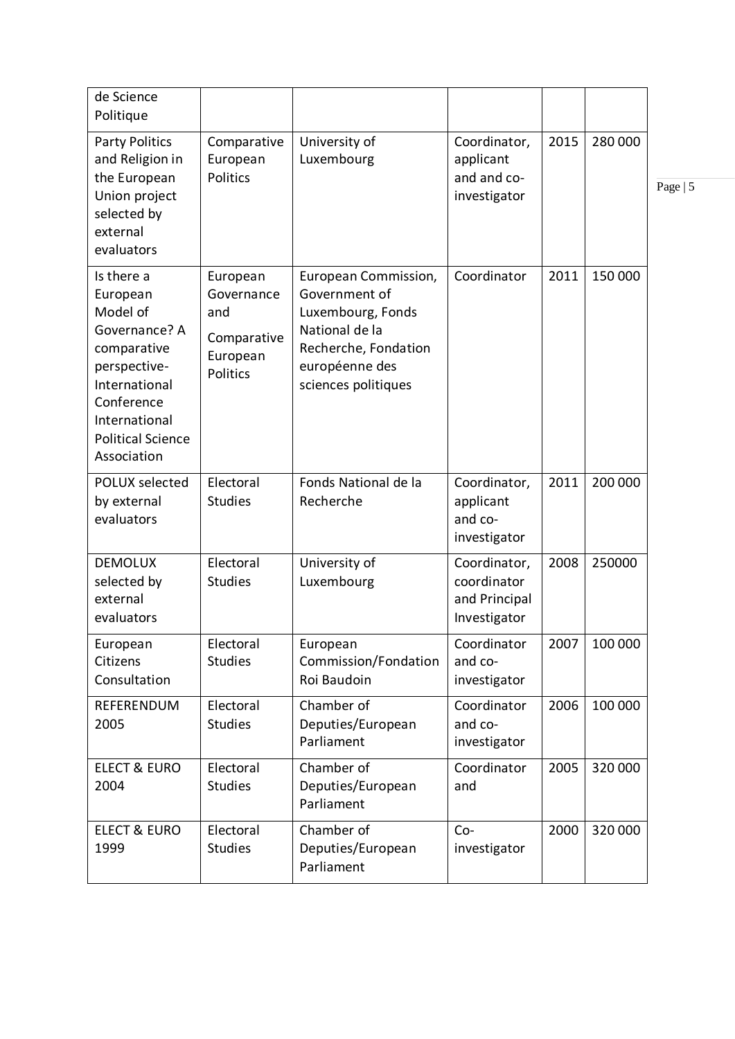| de Science<br>Politique                                                                                                                                                       |                                                                      |                                                                                                                                               |                                                              |      |         |           |
|-------------------------------------------------------------------------------------------------------------------------------------------------------------------------------|----------------------------------------------------------------------|-----------------------------------------------------------------------------------------------------------------------------------------------|--------------------------------------------------------------|------|---------|-----------|
| <b>Party Politics</b><br>and Religion in<br>the European<br>Union project<br>selected by<br>external<br>evaluators                                                            | Comparative<br>European<br><b>Politics</b>                           | University of<br>Luxembourg                                                                                                                   | Coordinator,<br>applicant<br>and and co-<br>investigator     | 2015 | 280 000 | Page $ 5$ |
| Is there a<br>European<br>Model of<br>Governance? A<br>comparative<br>perspective-<br>International<br>Conference<br>International<br><b>Political Science</b><br>Association | European<br>Governance<br>and<br>Comparative<br>European<br>Politics | European Commission,<br>Government of<br>Luxembourg, Fonds<br>National de la<br>Recherche, Fondation<br>européenne des<br>sciences politiques | Coordinator                                                  | 2011 | 150 000 |           |
| <b>POLUX selected</b><br>by external<br>evaluators                                                                                                                            | Electoral<br><b>Studies</b>                                          | Fonds National de la<br>Recherche                                                                                                             | Coordinator,<br>applicant<br>and co-<br>investigator         | 2011 | 200 000 |           |
| <b>DEMOLUX</b><br>selected by<br>external<br>evaluators                                                                                                                       | Electoral<br><b>Studies</b>                                          | University of<br>Luxembourg                                                                                                                   | Coordinator,<br>coordinator<br>and Principal<br>Investigator | 2008 | 250000  |           |
| European<br>Citizens<br>Consultation                                                                                                                                          | Electoral<br><b>Studies</b>                                          | European<br>Commission/Fondation<br>Roi Baudoin                                                                                               | Coordinator<br>and co-<br>investigator                       | 2007 | 100 000 |           |
| REFERENDUM<br>2005                                                                                                                                                            | Electoral<br><b>Studies</b>                                          | Chamber of<br>Deputies/European<br>Parliament                                                                                                 | Coordinator<br>and co-<br>investigator                       | 2006 | 100 000 |           |
| <b>ELECT &amp; EURO</b><br>2004                                                                                                                                               | Electoral<br><b>Studies</b>                                          | Chamber of<br>Deputies/European<br>Parliament                                                                                                 | Coordinator<br>and                                           | 2005 | 320 000 |           |
| <b>ELECT &amp; EURO</b><br>1999                                                                                                                                               | Electoral<br><b>Studies</b>                                          | Chamber of<br>Deputies/European<br>Parliament                                                                                                 | $Co-$<br>investigator                                        | 2000 | 320 000 |           |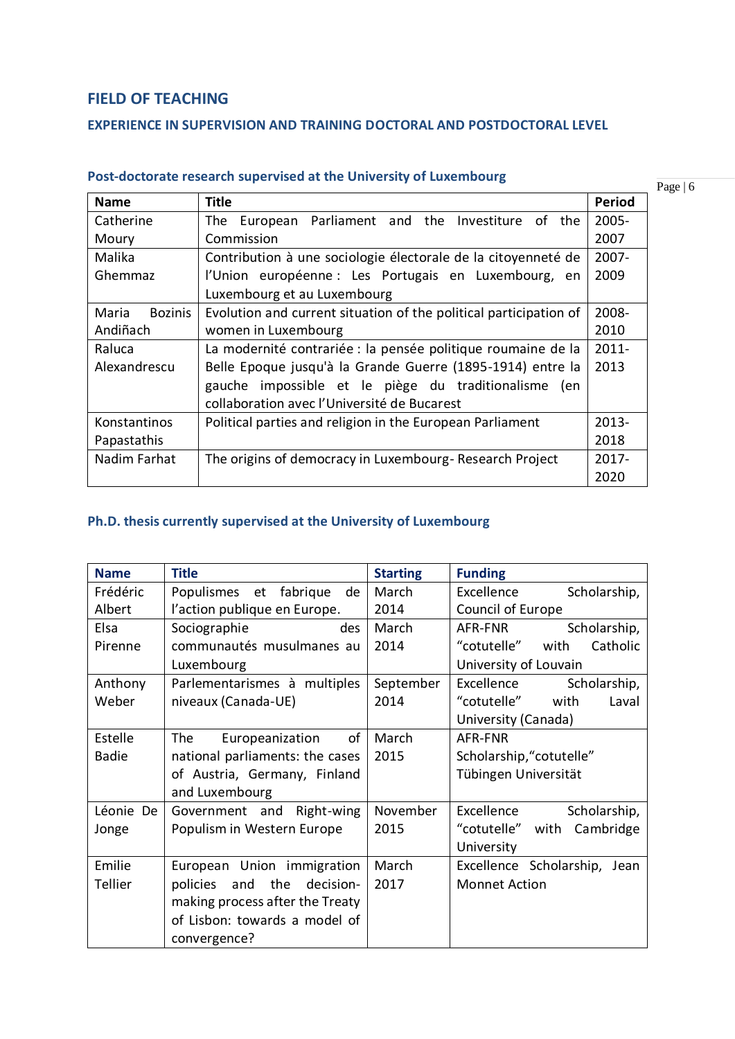# **FIELD OF TEACHING**

### **EXPERIENCE IN SUPERVISION AND TRAINING DOCTORAL AND POSTDOCTORAL LEVEL**

| <b>Name</b>             | <b>Title</b>                                                      | <b>Period</b> |
|-------------------------|-------------------------------------------------------------------|---------------|
| Catherine               | European Parliament and the Investiture of<br>The<br>the.         | 2005-         |
| Moury                   | Commission                                                        | 2007          |
| Malika                  | Contribution à une sociologie électorale de la citoyenneté de     | $2007 -$      |
| Ghemmaz                 | l'Union européenne : Les Portugais en Luxembourg, en              | 2009          |
|                         | Luxembourg et au Luxembourg                                       |               |
| <b>Bozinis</b><br>Maria | Evolution and current situation of the political participation of | 2008-         |
| Andiñach                | women in Luxembourg                                               | 2010          |
| Raluca                  | La modernité contrariée : la pensée politique roumaine de la      | $2011 -$      |
| Alexandrescu            | Belle Epoque jusqu'à la Grande Guerre (1895-1914) entre la        | 2013          |
|                         | gauche impossible et le piège du traditionalisme<br>en)           |               |
|                         | collaboration avec l'Université de Bucarest                       |               |
| Konstantinos            | Political parties and religion in the European Parliament         | $2013 -$      |
| Papastathis             |                                                                   | 2018          |
| Nadim Farhat            | The origins of democracy in Luxembourg-Research Project           | $2017 -$      |
|                         |                                                                   | 2020          |

# **Post-doctorate research supervised at the University of Luxembourg**

**Ph.D. thesis currently supervised at the University of Luxembourg**

| <b>Name</b>  | <b>Title</b>                     | <b>Starting</b> | <b>Funding</b>                |
|--------------|----------------------------------|-----------------|-------------------------------|
| Frédéric     | Populismes et<br>fabrique<br>de  | March           | Scholarship,<br>Excellence    |
| Albert       | l'action publique en Europe.     | 2014            | Council of Europe             |
| Elsa         | Sociographie<br>des              | March           | AFR-FNR<br>Scholarship,       |
| Pirenne      | communautés musulmanes au        | 2014            | "cotutelle" with<br>Catholic  |
|              | Luxembourg                       |                 | University of Louvain         |
| Anthony      | Parlementarismes à multiples     | September       | Excellence<br>Scholarship,    |
| Weber        | niveaux (Canada-UE)              | 2014            | "cotutelle" with<br>Laval     |
|              |                                  |                 | University (Canada)           |
| Estelle      | of<br>The<br>Europeanization     | March           | AFR-FNR                       |
| <b>Badie</b> | national parliaments: the cases  | 2015            | Scholarship, "cotutelle"      |
|              | of Austria, Germany, Finland     |                 | Tübingen Universität          |
|              | and Luxembourg                   |                 |                               |
| Léonie De    | Right-wing<br>Government and     | November        | Scholarship,<br>Excellence    |
| Jonge        | Populism in Western Europe       | 2015            | "cotutelle"<br>with Cambridge |
|              |                                  |                 | University                    |
| Emilie       | European Union immigration       | March           | Excellence Scholarship, Jean  |
| Tellier      | and the<br>policies<br>decision- | 2017            | <b>Monnet Action</b>          |
|              | making process after the Treaty  |                 |                               |
|              | of Lisbon: towards a model of    |                 |                               |
|              | convergence?                     |                 |                               |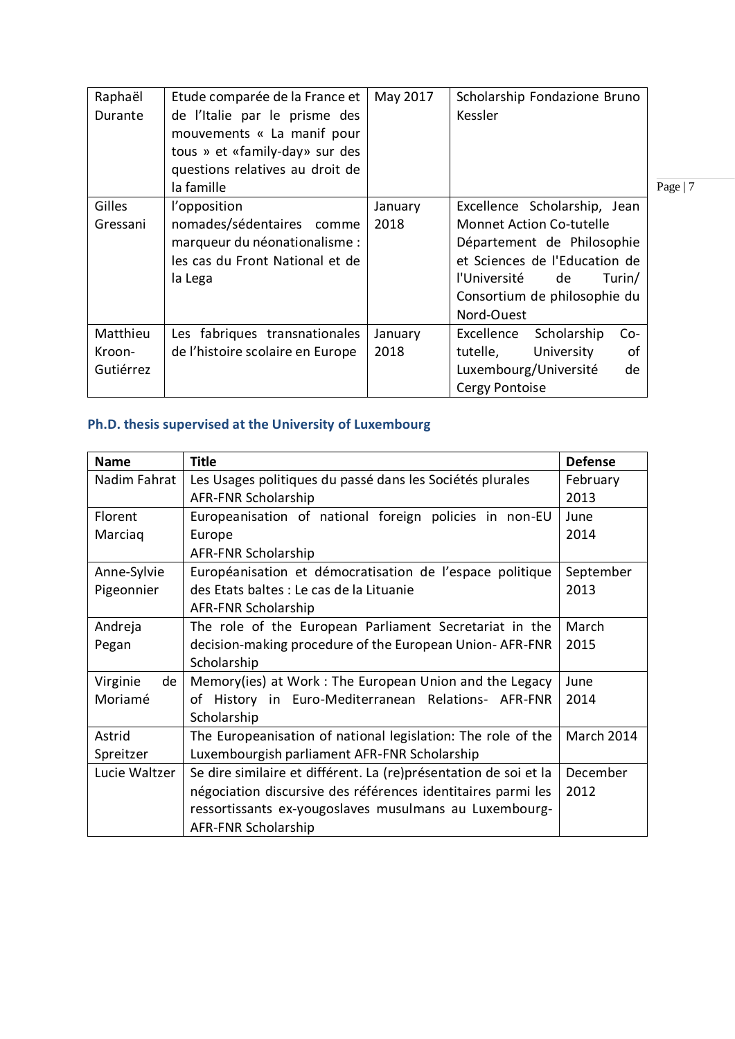| Raphaël<br>Durante | Etude comparée de la France et<br>de l'Italie par le prisme des<br>mouvements « La manif pour<br>tous » et «family-day» sur des<br>questions relatives au droit de<br>la famille | May 2017        | Scholarship Fondazione Bruno<br>Kessler                                                                                                                                                                   | Page   $7$ |
|--------------------|----------------------------------------------------------------------------------------------------------------------------------------------------------------------------------|-----------------|-----------------------------------------------------------------------------------------------------------------------------------------------------------------------------------------------------------|------------|
| Gilles<br>Gressani | l'opposition<br>nomades/sédentaires comme<br>marqueur du néonationalisme :<br>les cas du Front National et de<br>la Lega                                                         | January<br>2018 | Excellence Scholarship, Jean<br><b>Monnet Action Co-tutelle</b><br>Département de Philosophie<br>et Sciences de l'Education de<br>l'Université de<br>Turin/<br>Consortium de philosophie du<br>Nord-Ouest |            |
| Matthieu           | Les fabriques transnationales                                                                                                                                                    | January         | Excellence<br>Scholarship<br>$Co-$                                                                                                                                                                        |            |
| Kroon-             | de l'histoire scolaire en Europe                                                                                                                                                 | 2018            | tutelle,<br>University<br>οf                                                                                                                                                                              |            |
| Gutiérrez          |                                                                                                                                                                                  |                 | Luxembourg/Université<br>de                                                                                                                                                                               |            |
|                    |                                                                                                                                                                                  |                 | Cergy Pontoise                                                                                                                                                                                            |            |

# **Ph.D. thesis supervised at the University of Luxembourg**

| <b>Name</b>    | <b>Title</b>                                                     | <b>Defense</b> |
|----------------|------------------------------------------------------------------|----------------|
| Nadim Fahrat   | Les Usages politiques du passé dans les Sociétés plurales        | February       |
|                | AFR-FNR Scholarship                                              | 2013           |
| Florent        | Europeanisation of national foreign policies in non-EU           | June           |
| Marciaq        | Europe                                                           | 2014           |
|                | <b>AFR-FNR Scholarship</b>                                       |                |
| Anne-Sylvie    | Européanisation et démocratisation de l'espace politique         | September      |
| Pigeonnier     | des Etats baltes : Le cas de la Lituanie                         | 2013           |
|                | <b>AFR-FNR Scholarship</b>                                       |                |
| Andreja        | The role of the European Parliament Secretariat in the           | March          |
| Pegan          | decision-making procedure of the European Union-AFR-FNR          | 2015           |
|                | Scholarship                                                      |                |
| Virginie<br>de | Memory(ies) at Work: The European Union and the Legacy           | June           |
| Moriamé        | of History in Euro-Mediterranean Relations- AFR-FNR              | 2014           |
|                | Scholarship                                                      |                |
| Astrid         | The Europeanisation of national legislation: The role of the     | March 2014     |
| Spreitzer      | Luxembourgish parliament AFR-FNR Scholarship                     |                |
| Lucie Waltzer  | Se dire similaire et différent. La (re)présentation de soi et la | December       |
|                | négociation discursive des références identitaires parmi les     | 2012           |
|                | ressortissants ex-yougoslaves musulmans au Luxembourg-           |                |
|                | <b>AFR-FNR Scholarship</b>                                       |                |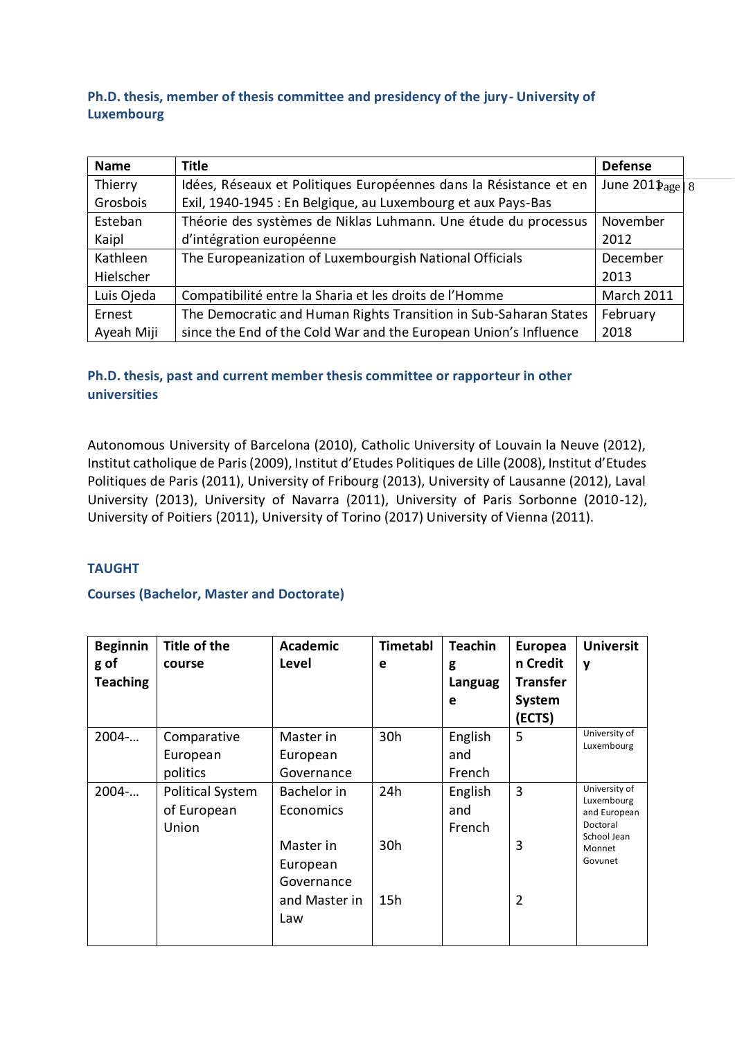### **Ph.D. thesis, member of thesis committee and presidency of the jury- University of Luxembourg**

| <b>Name</b> | <b>Title</b>                                                      | <b>Defense</b>             |  |
|-------------|-------------------------------------------------------------------|----------------------------|--|
| Thierry     | Idées, Réseaux et Politiques Européennes dans la Résistance et en | June $201 \text{Page}   8$ |  |
| Grosbois    | Exil, 1940-1945 : En Belgique, au Luxembourg et aux Pays-Bas      |                            |  |
| Esteban     | Théorie des systèmes de Niklas Luhmann. Une étude du processus    | November                   |  |
| Kaipl       | d'intégration européenne                                          | 2012                       |  |
| Kathleen    | The Europeanization of Luxembourgish National Officials           | December                   |  |
| Hielscher   |                                                                   | 2013                       |  |
| Luis Ojeda  | Compatibilité entre la Sharia et les droits de l'Homme            | <b>March 2011</b>          |  |
| Ernest      | The Democratic and Human Rights Transition in Sub-Saharan States  | February                   |  |
| Ayeah Miji  | since the End of the Cold War and the European Union's Influence  | 2018                       |  |

### **Ph.D. thesis, past and current member thesis committee or rapporteur in other universities**

Autonomous University of Barcelona (2010), Catholic University of Louvain la Neuve (2012), Institut catholique de Paris (2009), Institut d'Etudes Politiques de Lille (2008), Institut d'Etudes Politiques de Paris (2011), University of Fribourg (2013), University of Lausanne (2012), Laval University (2013), University of Navarra (2011), University of Paris Sorbonne (2010-12), University of Poitiers (2011), University of Torino (2017) University of Vienna (2011).

### **TAUGHT**

### **Courses (Bachelor, Master and Doctorate)**

| <b>Beginnin</b> | Title of the            | <b>Academic</b> | <b>Timetabl</b> | <b>Teachin</b> | <b>Europea</b>  | <b>Universit</b>            |
|-----------------|-------------------------|-----------------|-----------------|----------------|-----------------|-----------------------------|
| g of            | course                  | Level           | e               | g              | n Credit        | $\mathbf v$                 |
| <b>Teaching</b> |                         |                 |                 | Languag        | <b>Transfer</b> |                             |
|                 |                         |                 |                 | e              | <b>System</b>   |                             |
|                 |                         |                 |                 |                | (ECTS)          |                             |
| 2004            | Comparative             | Master in       | 30h             | English        | 5               | University of<br>Luxembourg |
|                 | European                | European        |                 | and            |                 |                             |
|                 | politics                | Governance      |                 | French         |                 |                             |
| $2004$ -        | <b>Political System</b> | Bachelor in     | 24h             | English        | 3               | University of               |
|                 | of European             | Economics       |                 | and            |                 | Luxembourg<br>and European  |
|                 | Union                   |                 |                 | French         |                 | Doctoral                    |
|                 |                         | Master in       | 30h             |                | 3               | School Jean<br>Monnet       |
|                 |                         | European        |                 |                |                 | Govunet                     |
|                 |                         | Governance      |                 |                |                 |                             |
|                 |                         | and Master in   | 15h             |                | 2               |                             |
|                 |                         | Law             |                 |                |                 |                             |
|                 |                         |                 |                 |                |                 |                             |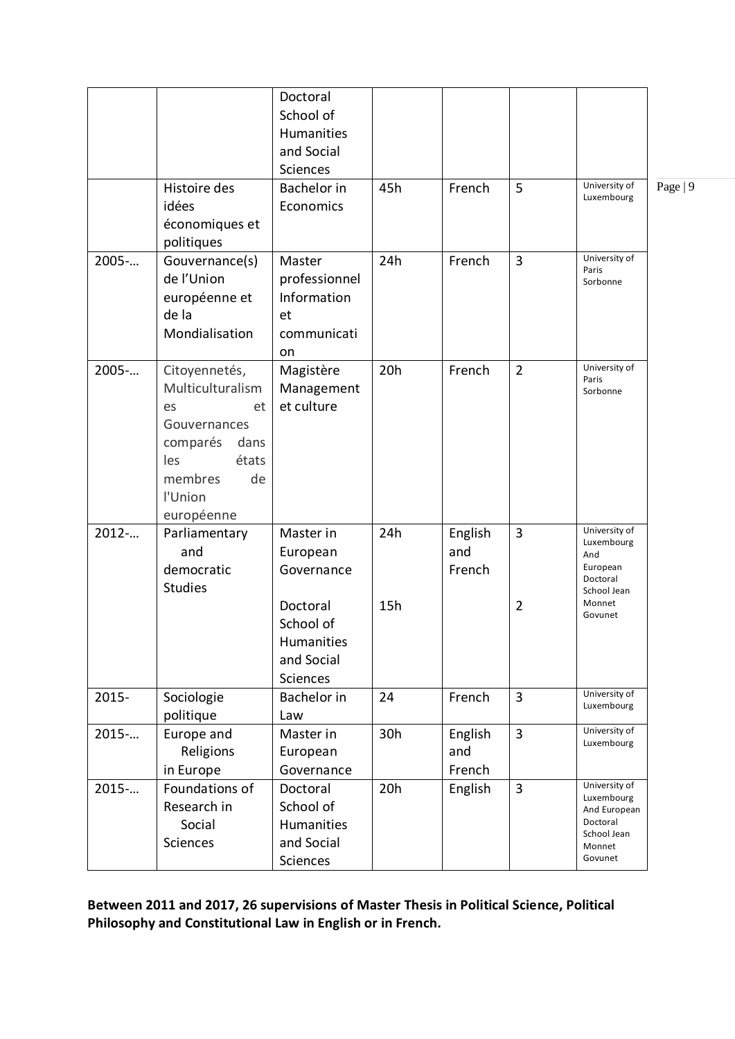|         |                                                                                                                                             | Doctoral<br>School of<br><b>Humanities</b><br>and Social<br>Sciences |     |                          |                |                                                                                             |          |
|---------|---------------------------------------------------------------------------------------------------------------------------------------------|----------------------------------------------------------------------|-----|--------------------------|----------------|---------------------------------------------------------------------------------------------|----------|
|         | Histoire des<br>idées<br>économiques et<br>politiques                                                                                       | <b>Bachelor</b> in<br>Economics                                      | 45h | French                   | 5              | University of<br>Luxembourg                                                                 | Page   9 |
| 2005-   | Gouvernance(s)<br>de l'Union<br>européenne et<br>de la<br>Mondialisation                                                                    | Master<br>professionnel<br>Information<br>et<br>communicati<br>on    | 24h | French                   | 3              | University of<br>Paris<br>Sorbonne                                                          |          |
| 2005-   | Citoyennetés,<br>Multiculturalism<br>et<br>es<br>Gouvernances<br>comparés<br>dans<br>les<br>états<br>de<br>membres<br>l'Union<br>européenne | Magistère<br>Management<br>et culture                                | 20h | French                   | $\overline{2}$ | University of<br>Paris<br>Sorbonne                                                          |          |
| $2012-$ | Parliamentary<br>and<br>democratic<br><b>Studies</b>                                                                                        | Master in<br>European<br>Governance                                  | 24h | English<br>and<br>French | 3              | University of<br>Luxembourg<br>And<br>European<br>Doctoral<br>School Jean                   |          |
|         |                                                                                                                                             | Doctoral<br>School of<br>Humanities<br>and Social<br><b>Sciences</b> | 15h |                          | 2              | Monnet<br>Govunet                                                                           |          |
| 2015-   | Sociologie<br>politique                                                                                                                     | Bachelor in<br>Law                                                   | 24  | French                   | 3              | University of<br>Luxembourg                                                                 |          |
| 2015    | Europe and<br>Religions<br>in Europe                                                                                                        | Master in<br>European<br>Governance                                  | 30h | English<br>and<br>French | 3              | University of<br>Luxembourg                                                                 |          |
| 2015-   | Foundations of<br>Research in<br>Social<br>Sciences                                                                                         | Doctoral<br>School of<br>Humanities<br>and Social<br>Sciences        | 20h | English                  | 3              | University of<br>Luxembourg<br>And European<br>Doctoral<br>School Jean<br>Monnet<br>Govunet |          |

**Between 2011 and 2017, 26 supervisions of Master Thesis in Political Science, Political Philosophy and Constitutional Law in English or in French.**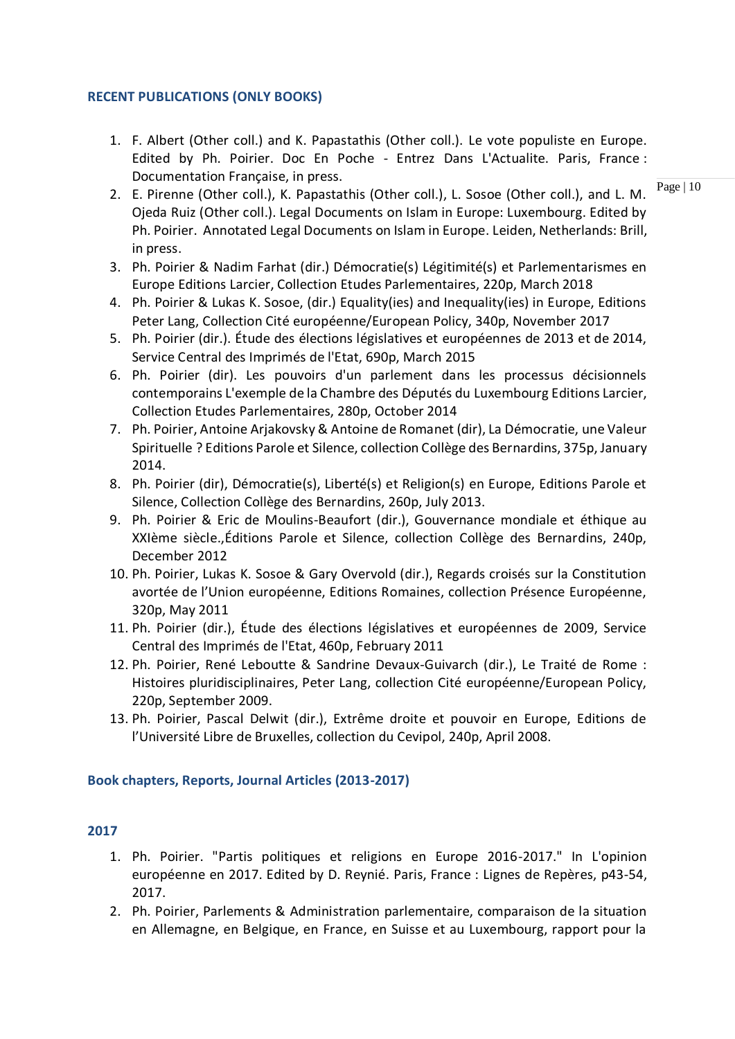#### **RECENT PUBLICATIONS (ONLY BOOKS)**

1. F. Albert (Other coll.) and K. Papastathis (Other coll.). Le vote populiste en Europe. Edited by Ph. Poirier. Doc En Poche - Entrez Dans L'Actualite. Paris, France : Documentation Française, in press.

Page | 10

- 2. E. Pirenne (Other coll.), K. Papastathis (Other coll.), L. Sosoe (Other coll.), and L. M. Ojeda Ruiz (Other coll.). Legal Documents on Islam in Europe: Luxembourg. Edited by Ph. Poirier. Annotated Legal Documents on Islam in Europe. Leiden, Netherlands: Brill, in press.
- 3. Ph. Poirier & Nadim Farhat (dir.) Démocratie(s) Légitimité(s) et Parlementarismes en Europe Editions Larcier, Collection Etudes Parlementaires, 220p, March 2018
- 4. Ph. Poirier & Lukas K. Sosoe, (dir.) Equality(ies) and Inequality(ies) in Europe, Editions Peter Lang, Collection Cité européenne/European Policy, 340p, November 2017
- 5. Ph. Poirier (dir.). Étude des élections législatives et européennes de 2013 et de 2014, Service Central des Imprimés de l'Etat, 690p, March 2015
- 6. Ph. Poirier (dir). Les pouvoirs d'un parlement dans les processus décisionnels contemporains L'exemple de la Chambre des Députés du Luxembourg Editions Larcier, Collection Etudes Parlementaires, 280p, October 2014
- 7. Ph. Poirier, Antoine Arjakovsky & Antoine de Romanet (dir), La Démocratie, une Valeur Spirituelle ? Editions Parole et Silence, collection Collège des Bernardins, 375p, January 2014.
- 8. Ph. Poirier (dir), Démocratie(s), Liberté(s) et Religion(s) en Europe, Editions Parole et Silence, Collection Collège des Bernardins, 260p, July 2013.
- 9. Ph. Poirier & Eric de Moulins-Beaufort (dir.), Gouvernance mondiale et éthique au XXIème siècle.,Éditions Parole et Silence, collection Collège des Bernardins, 240p, December 2012
- 10. Ph. Poirier, Lukas K. Sosoe & Gary Overvold (dir.), Regards croisés sur la Constitution avortée de l'Union européenne, Editions Romaines, collection Présence Européenne, 320p, May 2011
- 11. Ph. Poirier (dir.), Étude des élections législatives et européennes de 2009, Service Central des Imprimés de l'Etat, 460p, February 2011
- 12. Ph. Poirier, René Leboutte & Sandrine Devaux-Guivarch (dir.), Le Traité de Rome : Histoires pluridisciplinaires, Peter Lang, collection Cité européenne/European Policy, 220p, September 2009.
- 13. Ph. Poirier, Pascal Delwit (dir.), Extrême droite et pouvoir en Europe, Editions de l'Université Libre de Bruxelles, collection du Cevipol, 240p, April 2008.

#### **Book chapters, Reports, Journal Articles (2013-2017)**

- 1. Ph. Poirier. "Partis politiques et religions en Europe 2016-2017." In L'opinion européenne en 2017. Edited by D. Reynié. Paris, France : Lignes de Repères, p43-54, 2017.
- 2. Ph. Poirier, Parlements & Administration parlementaire, comparaison de la situation en Allemagne, en Belgique, en France, en Suisse et au Luxembourg, rapport pour la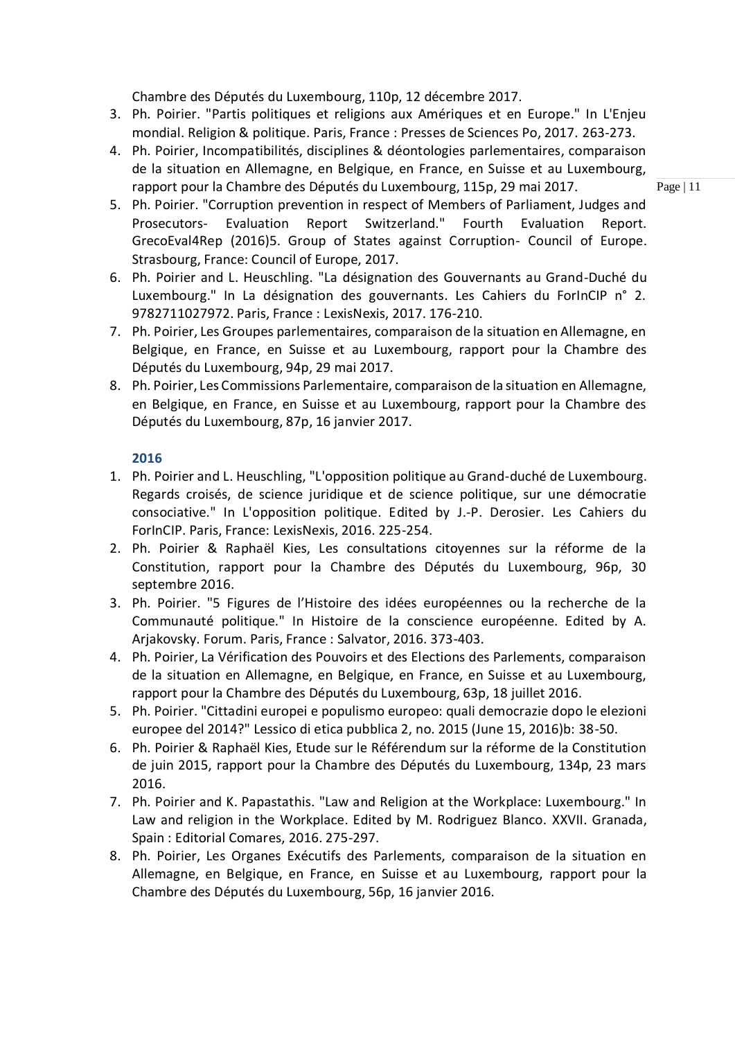Chambre des Députés du Luxembourg, 110p, 12 décembre 2017.

- 3. Ph. Poirier. "Partis politiques et religions aux Amériques et en Europe." In L'Enjeu mondial. Religion & politique. Paris, France : Presses de Sciences Po, 2017. 263-273.
- 4. Ph. Poirier, Incompatibilités, disciplines & déontologies parlementaires, comparaison de la situation en Allemagne, en Belgique, en France, en Suisse et au Luxembourg, rapport pour la Chambre des Députés du Luxembourg, 115p, 29 mai 2017.

Page | 11

- 5. Ph. Poirier. "Corruption prevention in respect of Members of Parliament, Judges and Prosecutors- Evaluation Report Switzerland." Fourth Evaluation Report. GrecoEval4Rep (2016)5. Group of States against Corruption- Council of Europe. Strasbourg, France: Council of Europe, 2017.
- 6. Ph. Poirier and L. Heuschling. "La désignation des Gouvernants au Grand-Duché du Luxembourg." In La désignation des gouvernants. Les Cahiers du ForInCIP n° 2. 9782711027972. Paris, France : LexisNexis, 2017. 176-210.
- 7. Ph. Poirier, Les Groupes parlementaires, comparaison de la situation en Allemagne, en Belgique, en France, en Suisse et au Luxembourg, rapport pour la Chambre des Députés du Luxembourg, 94p, 29 mai 2017.
- 8. Ph. Poirier, Les Commissions Parlementaire, comparaison de la situation en Allemagne, en Belgique, en France, en Suisse et au Luxembourg, rapport pour la Chambre des Députés du Luxembourg, 87p, 16 janvier 2017.

- 1. Ph. Poirier and L. Heuschling, "L'opposition politique au Grand-duché de Luxembourg. Regards croisés, de science juridique et de science politique, sur une démocratie consociative." In L'opposition politique. Edited by J.-P. Derosier. Les Cahiers du ForInCIP. Paris, France: LexisNexis, 2016. 225-254.
- 2. Ph. Poirier & Raphaël Kies, Les consultations citoyennes sur la réforme de la Constitution, rapport pour la Chambre des Députés du Luxembourg, 96p, 30 septembre 2016.
- 3. Ph. Poirier. "5 Figures de l'Histoire des idées européennes ou la recherche de la Communauté politique." In Histoire de la conscience européenne. Edited by A. Arjakovsky. Forum. Paris, France : Salvator, 2016. 373-403.
- 4. Ph. Poirier, La Vérification des Pouvoirs et des Elections des Parlements, comparaison de la situation en Allemagne, en Belgique, en France, en Suisse et au Luxembourg, rapport pour la Chambre des Députés du Luxembourg, 63p, 18 juillet 2016.
- 5. Ph. Poirier. "Cittadini europei e populismo europeo: quali democrazie dopo le elezioni europee del 2014?" Lessico di etica pubblica 2, no. 2015 (June 15, 2016)b: 38-50.
- 6. Ph. Poirier & Raphaël Kies, Etude sur le Référendum sur la réforme de la Constitution de juin 2015, rapport pour la Chambre des Députés du Luxembourg, 134p, 23 mars 2016.
- 7. Ph. Poirier and K. Papastathis. "Law and Religion at the Workplace: Luxembourg." In Law and religion in the Workplace. Edited by M. Rodriguez Blanco. XXVII. Granada, Spain : Editorial Comares, 2016. 275-297.
- 8. Ph. Poirier, Les Organes Exécutifs des Parlements, comparaison de la situation en Allemagne, en Belgique, en France, en Suisse et au Luxembourg, rapport pour la Chambre des Députés du Luxembourg, 56p, 16 janvier 2016.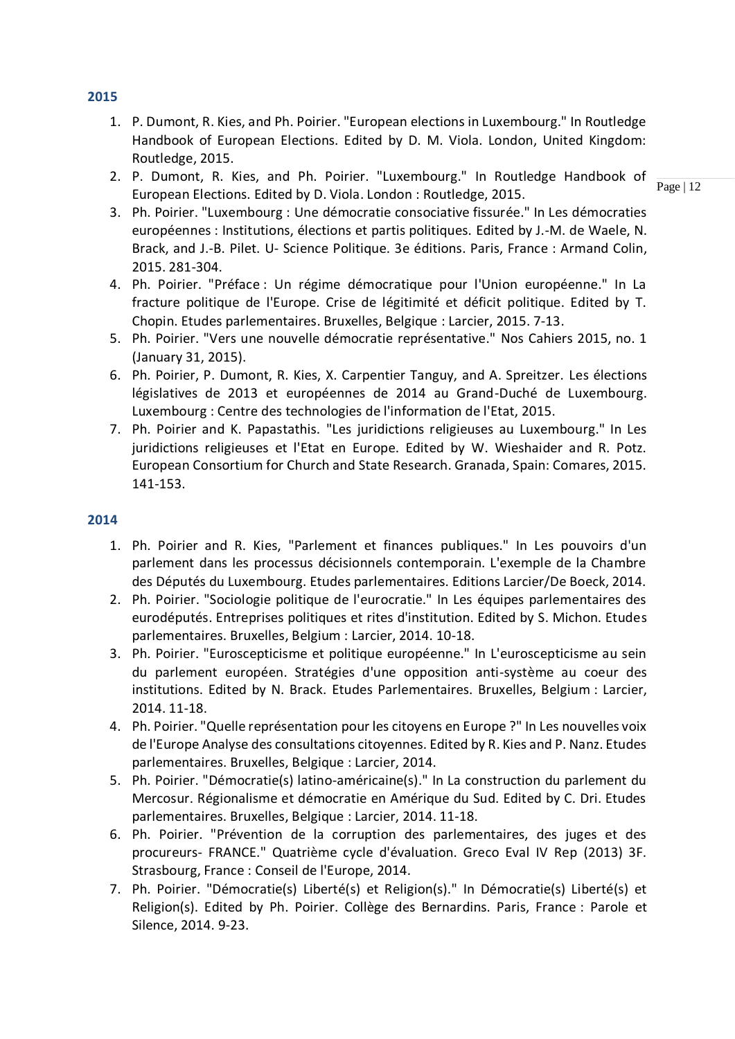- 1. P. Dumont, R. Kies, and Ph. Poirier. "European elections in Luxembourg." In Routledge Handbook of European Elections. Edited by D. M. Viola. London, United Kingdom: Routledge, 2015.
- 2. P. Dumont, R. Kies, and Ph. Poirier. "Luxembourg." In Routledge Handbook of European Elections. Edited by D. Viola. London : Routledge, 2015.
- 3. Ph. Poirier. "Luxembourg : Une démocratie consociative fissurée." In Les démocraties européennes : Institutions, élections et partis politiques. Edited by J.-M. de Waele, N. Brack, and J.-B. Pilet. U- Science Politique. 3e éditions. Paris, France : Armand Colin, 2015. 281-304.
- 4. Ph. Poirier. "Préface : Un régime démocratique pour l'Union européenne." In La fracture politique de l'Europe. Crise de légitimité et déficit politique. Edited by T. Chopin. Etudes parlementaires. Bruxelles, Belgique : Larcier, 2015. 7-13.
- 5. Ph. Poirier. "Vers une nouvelle démocratie représentative." Nos Cahiers 2015, no. 1 (January 31, 2015).
- 6. Ph. Poirier, P. Dumont, R. Kies, X. Carpentier Tanguy, and A. Spreitzer. Les élections législatives de 2013 et européennes de 2014 au Grand-Duché de Luxembourg. Luxembourg : Centre des technologies de l'information de l'Etat, 2015.
- 7. Ph. Poirier and K. Papastathis. "Les juridictions religieuses au Luxembourg." In Les juridictions religieuses et l'Etat en Europe. Edited by W. Wieshaider and R. Potz. European Consortium for Church and State Research. Granada, Spain: Comares, 2015. 141-153.

- 1. Ph. Poirier and R. Kies, "Parlement et finances publiques." In Les pouvoirs d'un parlement dans les processus décisionnels contemporain. L'exemple de la Chambre des Députés du Luxembourg. Etudes parlementaires. Editions Larcier/De Boeck, 2014.
- 2. Ph. Poirier. "Sociologie politique de l'eurocratie." In Les équipes parlementaires des eurodéputés. Entreprises politiques et rites d'institution. Edited by S. Michon. Etudes parlementaires. Bruxelles, Belgium : Larcier, 2014. 10-18.
- 3. Ph. Poirier. "Euroscepticisme et politique européenne." In L'euroscepticisme au sein du parlement européen. Stratégies d'une opposition anti-système au coeur des institutions. Edited by N. Brack. Etudes Parlementaires. Bruxelles, Belgium : Larcier, 2014. 11-18.
- 4. Ph. Poirier. "Quelle représentation pour les citoyens en Europe ?" In Les nouvelles voix de l'Europe Analyse des consultations citoyennes. Edited by R. Kies and P. Nanz. Etudes parlementaires. Bruxelles, Belgique : Larcier, 2014.
- 5. Ph. Poirier. "Démocratie(s) latino-américaine(s)." In La construction du parlement du Mercosur. Régionalisme et démocratie en Amérique du Sud. Edited by C. Dri. Etudes parlementaires. Bruxelles, Belgique : Larcier, 2014. 11-18.
- 6. Ph. Poirier. "Prévention de la corruption des parlementaires, des juges et des procureurs- FRANCE." Quatrième cycle d'évaluation. Greco Eval IV Rep (2013) 3F. Strasbourg, France : Conseil de l'Europe, 2014.
- 7. Ph. Poirier. "Démocratie(s) Liberté(s) et Religion(s)." In Démocratie(s) Liberté(s) et Religion(s). Edited by Ph. Poirier. Collège des Bernardins. Paris, France : Parole et Silence, 2014. 9-23.

#### **2015**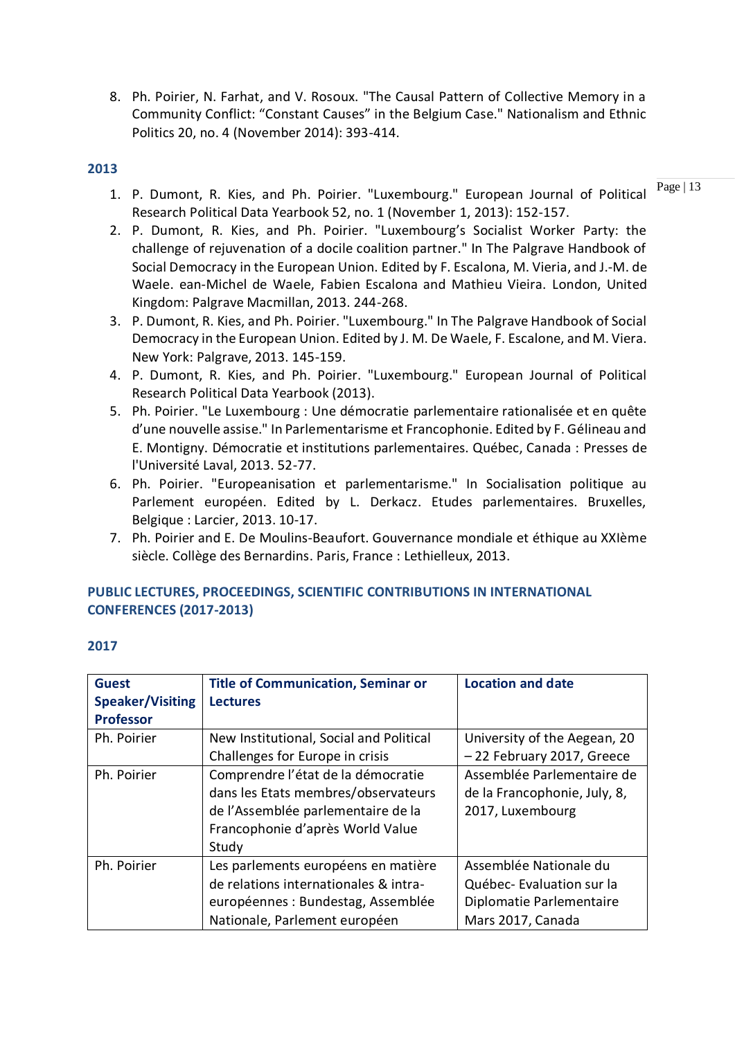8. Ph. Poirier, N. Farhat, and V. Rosoux. "The Causal Pattern of Collective Memory in a Community Conflict: "Constant Causes" in the Belgium Case." Nationalism and Ethnic Politics 20, no. 4 (November 2014): 393-414.

#### **2013**

- 1. P. Dumont, R. Kies, and Ph. Poirier. "Luxembourg." European Journal of Political  $^{Page|13}$ Research Political Data Yearbook 52, no. 1 (November 1, 2013): 152-157.
- 2. P. Dumont, R. Kies, and Ph. Poirier. "Luxembourg's Socialist Worker Party: the challenge of rejuvenation of a docile coalition partner." In The Palgrave Handbook of Social Democracy in the European Union. Edited by F. Escalona, M. Vieria, and J.-M. de Waele. ean-Michel de Waele, Fabien Escalona and Mathieu Vieira. London, United Kingdom: Palgrave Macmillan, 2013. 244-268.
- 3. P. Dumont, R. Kies, and Ph. Poirier. "Luxembourg." In The Palgrave Handbook of Social Democracy in the European Union. Edited by J. M. De Waele, F. Escalone, and M. Viera. New York: Palgrave, 2013. 145-159.
- 4. P. Dumont, R. Kies, and Ph. Poirier. "Luxembourg." European Journal of Political Research Political Data Yearbook (2013).
- 5. Ph. Poirier. "Le Luxembourg : Une démocratie parlementaire rationalisée et en quête d'une nouvelle assise." In Parlementarisme et Francophonie. Edited by F. Gélineau and E. Montigny. Démocratie et institutions parlementaires. Québec, Canada : Presses de l'Université Laval, 2013. 52-77.
- 6. Ph. Poirier. "Europeanisation et parlementarisme." In Socialisation politique au Parlement européen. Edited by L. Derkacz. Etudes parlementaires. Bruxelles, Belgique : Larcier, 2013. 10-17.
- 7. Ph. Poirier and E. De Moulins-Beaufort. Gouvernance mondiale et éthique au XXIème siècle. Collège des Bernardins. Paris, France : Lethielleux, 2013.

### **PUBLIC LECTURES, PROCEEDINGS, SCIENTIFIC CONTRIBUTIONS IN INTERNATIONAL CONFERENCES (2017-2013)**

| <b>Guest</b>            | <b>Title of Communication, Seminar or</b> | <b>Location and date</b>     |
|-------------------------|-------------------------------------------|------------------------------|
| <b>Speaker/Visiting</b> | <b>Lectures</b>                           |                              |
| <b>Professor</b>        |                                           |                              |
| Ph. Poirier             | New Institutional, Social and Political   | University of the Aegean, 20 |
|                         | Challenges for Europe in crisis           | -22 February 2017, Greece    |
| Ph. Poirier             | Comprendre l'état de la démocratie        | Assemblée Parlementaire de   |
|                         | dans les Etats membres/observateurs       | de la Francophonie, July, 8, |
|                         | de l'Assemblée parlementaire de la        | 2017, Luxembourg             |
|                         | Francophonie d'après World Value          |                              |
|                         | Study                                     |                              |
| Ph. Poirier             | Les parlements européens en matière       | Assemblée Nationale du       |
|                         | de relations internationales & intra-     | Québec-Evaluation sur la     |
|                         | européennes : Bundestag, Assemblée        | Diplomatie Parlementaire     |
|                         | Nationale, Parlement européen             | Mars 2017, Canada            |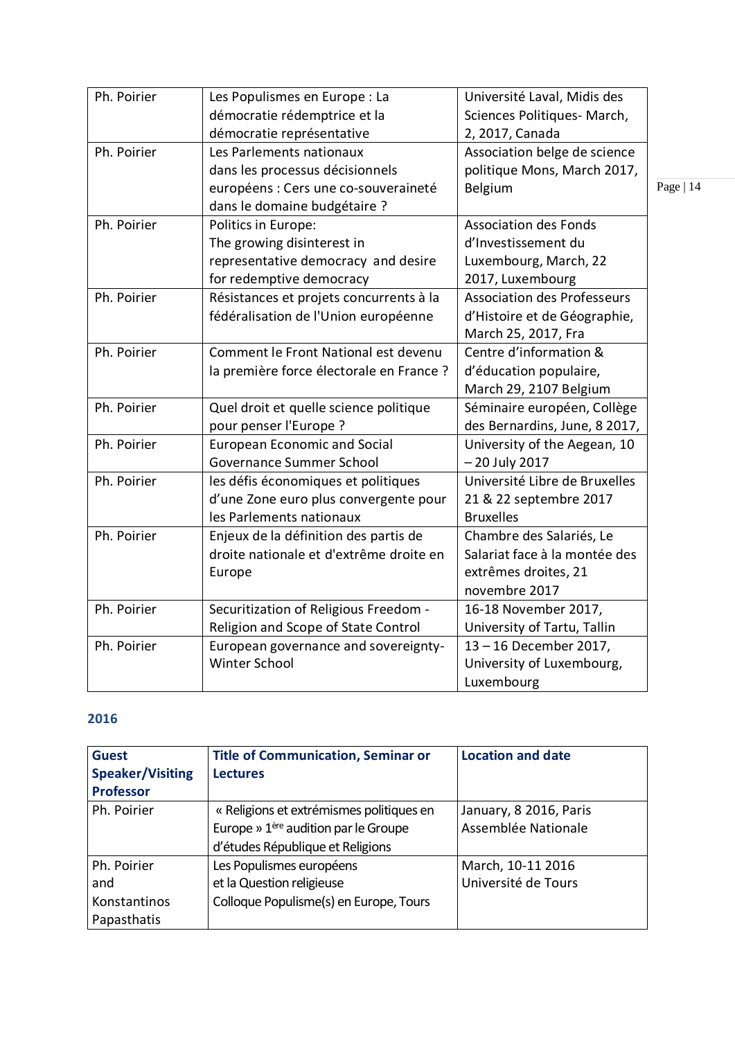| Ph. Poirier | Les Populismes en Europe : La            | Université Laval, Midis des        |           |
|-------------|------------------------------------------|------------------------------------|-----------|
|             | démocratie rédemptrice et la             | Sciences Politiques- March,        |           |
|             | démocratie représentative                | 2, 2017, Canada                    |           |
| Ph. Poirier | Les Parlements nationaux                 | Association belge de science       |           |
|             | dans les processus décisionnels          | politique Mons, March 2017,        |           |
|             | européens : Cers une co-souveraineté     | Belgium                            | Page   14 |
|             | dans le domaine budgétaire ?             |                                    |           |
| Ph. Poirier | Politics in Europe:                      | <b>Association des Fonds</b>       |           |
|             | The growing disinterest in               | d'Investissement du                |           |
|             | representative democracy and desire      | Luxembourg, March, 22              |           |
|             | for redemptive democracy                 | 2017, Luxembourg                   |           |
| Ph. Poirier | Résistances et projets concurrents à la  | <b>Association des Professeurs</b> |           |
|             | fédéralisation de l'Union européenne     | d'Histoire et de Géographie,       |           |
|             |                                          | March 25, 2017, Fra                |           |
| Ph. Poirier | Comment le Front National est devenu     | Centre d'information &             |           |
|             | la première force électorale en France ? | d'éducation populaire,             |           |
|             |                                          | March 29, 2107 Belgium             |           |
| Ph. Poirier | Quel droit et quelle science politique   | Séminaire européen, Collège        |           |
|             | pour penser l'Europe ?                   | des Bernardins, June, 8 2017,      |           |
| Ph. Poirier | <b>European Economic and Social</b>      | University of the Aegean, 10       |           |
|             | Governance Summer School                 | - 20 July 2017                     |           |
| Ph. Poirier | les défis économiques et politiques      | Université Libre de Bruxelles      |           |
|             | d'une Zone euro plus convergente pour    | 21 & 22 septembre 2017             |           |
|             | les Parlements nationaux                 | <b>Bruxelles</b>                   |           |
| Ph. Poirier | Enjeux de la définition des partis de    | Chambre des Salariés, Le           |           |
|             | droite nationale et d'extrême droite en  | Salariat face à la montée des      |           |
|             | Europe                                   | extrêmes droites, 21               |           |
|             |                                          | novembre 2017                      |           |
| Ph. Poirier | Securitization of Religious Freedom -    | 16-18 November 2017,               |           |
|             | Religion and Scope of State Control      | University of Tartu, Tallin        |           |
| Ph. Poirier | European governance and sovereignty-     | 13-16 December 2017,               |           |
|             | Winter School                            | University of Luxembourg,          |           |
|             |                                          | Luxembourg                         |           |

| <b>Guest</b><br><b>Speaker/Visiting</b><br><b>Professor</b> | <b>Title of Communication, Seminar or</b><br><b>Lectures</b>                                                                     | <b>Location and date</b>                      |
|-------------------------------------------------------------|----------------------------------------------------------------------------------------------------------------------------------|-----------------------------------------------|
| Ph. Poirier                                                 | « Religions et extrémismes politiques en<br>Europe » 1 <sup>ère</sup> audition par le Groupe<br>d'études République et Religions | January, 8 2016, Paris<br>Assemblée Nationale |
| Ph. Poirier<br>and<br>Konstantinos<br>Papasthatis           | Les Populismes européens<br>et la Question religieuse<br>Colloque Populisme(s) en Europe, Tours                                  | March, 10-11 2016<br>Université de Tours      |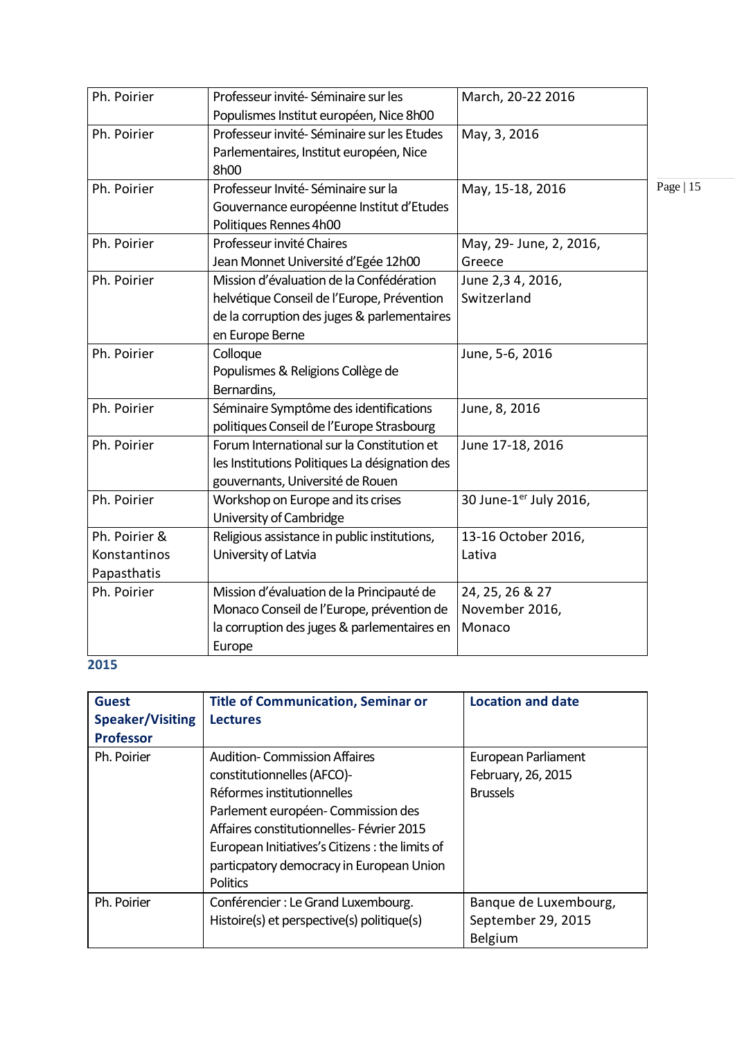| Ph. Poirier                                  | Professeur invité-Séminaire sur les<br>Populismes Institut européen, Nice 8h00                                                                           | March, 20-22 2016                           |            |
|----------------------------------------------|----------------------------------------------------------------------------------------------------------------------------------------------------------|---------------------------------------------|------------|
| Ph. Poirier                                  | Professeur invité-Séminaire sur les Etudes<br>Parlementaires, Institut européen, Nice<br>8h00                                                            | May, 3, 2016                                |            |
| Ph. Poirier                                  | Professeur Invité-Séminaire sur la<br>Gouvernance européenne Institut d'Etudes<br>Politiques Rennes 4h00                                                 | May, 15-18, 2016                            | Page $ 15$ |
| Ph. Poirier                                  | Professeur invité Chaires<br>Jean Monnet Université d'Egée 12h00                                                                                         | May, 29- June, 2, 2016,<br>Greece           |            |
| Ph. Poirier                                  | Mission d'évaluation de la Confédération<br>helvétique Conseil de l'Europe, Prévention<br>de la corruption des juges & parlementaires<br>en Europe Berne | June 2,3 4, 2016,<br>Switzerland            |            |
| Ph. Poirier                                  | Colloque<br>Populismes & Religions Collège de<br>Bernardins,                                                                                             | June, 5-6, 2016                             |            |
| Ph. Poirier                                  | Séminaire Symptôme des identifications<br>politiques Conseil de l'Europe Strasbourg                                                                      | June, 8, 2016                               |            |
| Ph. Poirier                                  | Forum International sur la Constitution et<br>les Institutions Politiques La désignation des<br>gouvernants, Université de Rouen                         | June 17-18, 2016                            |            |
| Ph. Poirier                                  | Workshop on Europe and its crises<br>University of Cambridge                                                                                             | 30 June-1er July 2016,                      |            |
| Ph. Poirier &<br>Konstantinos<br>Papasthatis | Religious assistance in public institutions,<br>University of Latvia                                                                                     | 13-16 October 2016,<br>Lativa               |            |
| Ph. Poirier                                  | Mission d'évaluation de la Principauté de<br>Monaco Conseil de l'Europe, prévention de<br>la corruption des juges & parlementaires en<br>Europe          | 24, 25, 26 & 27<br>November 2016,<br>Monaco |            |

| <b>Guest</b><br><b>Speaker/Visiting</b><br><b>Professor</b> | <b>Title of Communication, Seminar or</b><br><b>Lectures</b>                                                                                                                                                                                                                                       | <b>Location and date</b>                                      |
|-------------------------------------------------------------|----------------------------------------------------------------------------------------------------------------------------------------------------------------------------------------------------------------------------------------------------------------------------------------------------|---------------------------------------------------------------|
| Ph. Poirier                                                 | <b>Audition-Commission Affaires</b><br>constitutionnelles (AFCO)-<br>Réformes institutionnelles<br>Parlement européen- Commission des<br>Affaires constitutionnelles-Février 2015<br>European Initiatives's Citizens: the limits of<br>particpatory democracy in European Union<br><b>Politics</b> | European Parliament<br>February, 26, 2015<br><b>Brussels</b>  |
| Ph. Poirier                                                 | Conférencier : Le Grand Luxembourg.<br>Histoire(s) et perspective(s) politique(s)                                                                                                                                                                                                                  | Banque de Luxembourg,<br>September 29, 2015<br><b>Belgium</b> |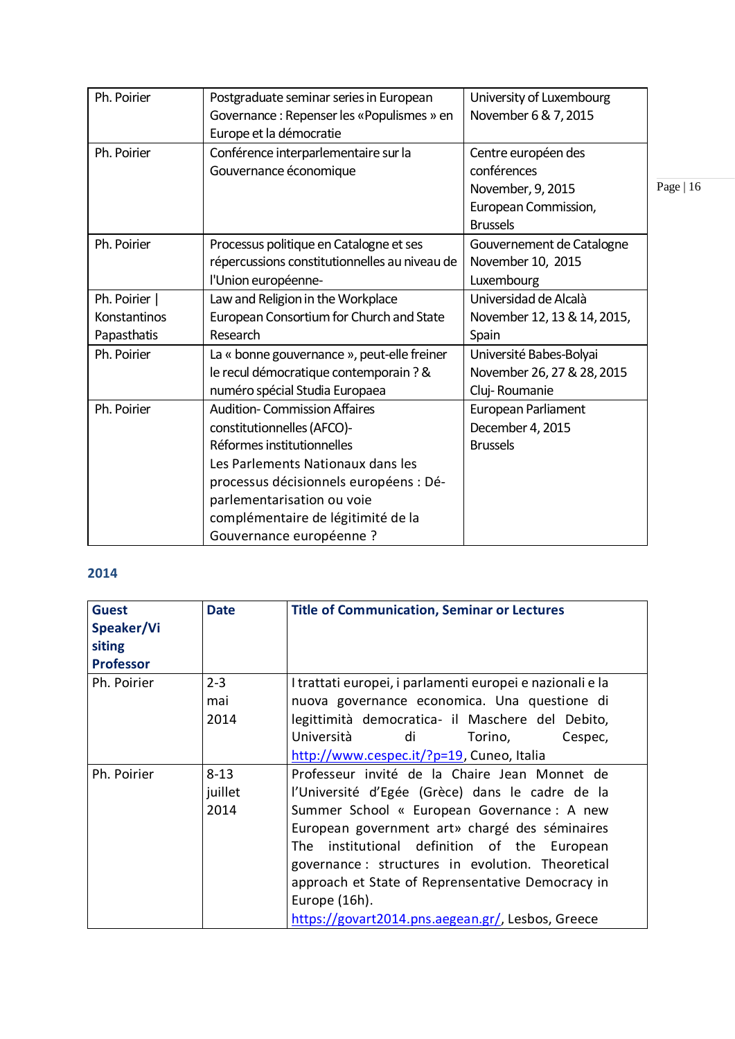| Ph. Poirier  | Postgraduate seminar series in European<br>Governance: Repenser les «Populismes » en | University of Luxembourg<br>November 6 & 7, 2015 |  |
|--------------|--------------------------------------------------------------------------------------|--------------------------------------------------|--|
|              | Europe et la démocratie                                                              |                                                  |  |
| Ph. Poirier  | Conférence interparlementaire sur la                                                 | Centre européen des                              |  |
|              | Gouvernance économique                                                               | conférences                                      |  |
|              |                                                                                      | November, 9, 2015                                |  |
|              |                                                                                      | European Commission,                             |  |
|              |                                                                                      | <b>Brussels</b>                                  |  |
| Ph. Poirier  | Processus politique en Catalogne et ses                                              | Gouvernement de Catalogne                        |  |
|              | répercussions constitutionnelles au niveau de                                        | November 10, 2015                                |  |
|              | l'Union européenne-                                                                  | Luxembourg                                       |  |
| Ph. Poirier  | Law and Religion in the Workplace                                                    | Universidad de Alcalà                            |  |
| Konstantinos | European Consortium for Church and State                                             | November 12, 13 & 14, 2015,                      |  |
| Papasthatis  | Research                                                                             | Spain                                            |  |
| Ph. Poirier  | La « bonne gouvernance », peut-elle freiner                                          | Université Babes-Bolyai                          |  |
|              | le recul démocratique contemporain ? &                                               | November 26, 27 & 28, 2015                       |  |
|              | numéro spécial Studia Europaea                                                       | Cluj-Roumanie                                    |  |
| Ph. Poirier  | <b>Audition-Commission Affaires</b>                                                  | European Parliament                              |  |
|              | constitutionnelles (AFCO)-                                                           | December 4, 2015                                 |  |
|              | Réformes institutionnelles                                                           | <b>Brussels</b>                                  |  |
|              | Les Parlements Nationaux dans les                                                    |                                                  |  |
|              | processus décisionnels européens : Dé-                                               |                                                  |  |
|              | parlementarisation ou voie                                                           |                                                  |  |
|              | complémentaire de légitimité de la                                                   |                                                  |  |
|              | Gouvernance européenne ?                                                             |                                                  |  |

| <b>Guest</b><br>Speaker/Vi<br>siting<br><b>Professor</b> | <b>Date</b> | <b>Title of Communication, Seminar or Lectures</b>        |
|----------------------------------------------------------|-------------|-----------------------------------------------------------|
| Ph. Poirier                                              | $2 - 3$     | I trattati europei, i parlamenti europei e nazionali e la |
|                                                          | mai         | nuova governance economica. Una questione di              |
|                                                          | 2014        | legittimità democratica- il Maschere del Debito,          |
|                                                          |             | Università<br>di<br>Torino,<br>Cespec,                    |
|                                                          |             | http://www.cespec.it/?p=19, Cuneo, Italia                 |
| Ph. Poirier                                              | $8 - 13$    | Professeur invité de la Chaire Jean Monnet de             |
|                                                          | juillet     | l'Université d'Egée (Grèce) dans le cadre de la           |
|                                                          | 2014        | Summer School « European Governance : A new               |
|                                                          |             | European government art» chargé des séminaires            |
|                                                          |             | The institutional definition of the European              |
|                                                          |             | governance : structures in evolution. Theoretical         |
|                                                          |             | approach et State of Reprensentative Democracy in         |
|                                                          |             | Europe (16h).                                             |
|                                                          |             | https://govart2014.pns.aegean.gr/, Lesbos, Greece         |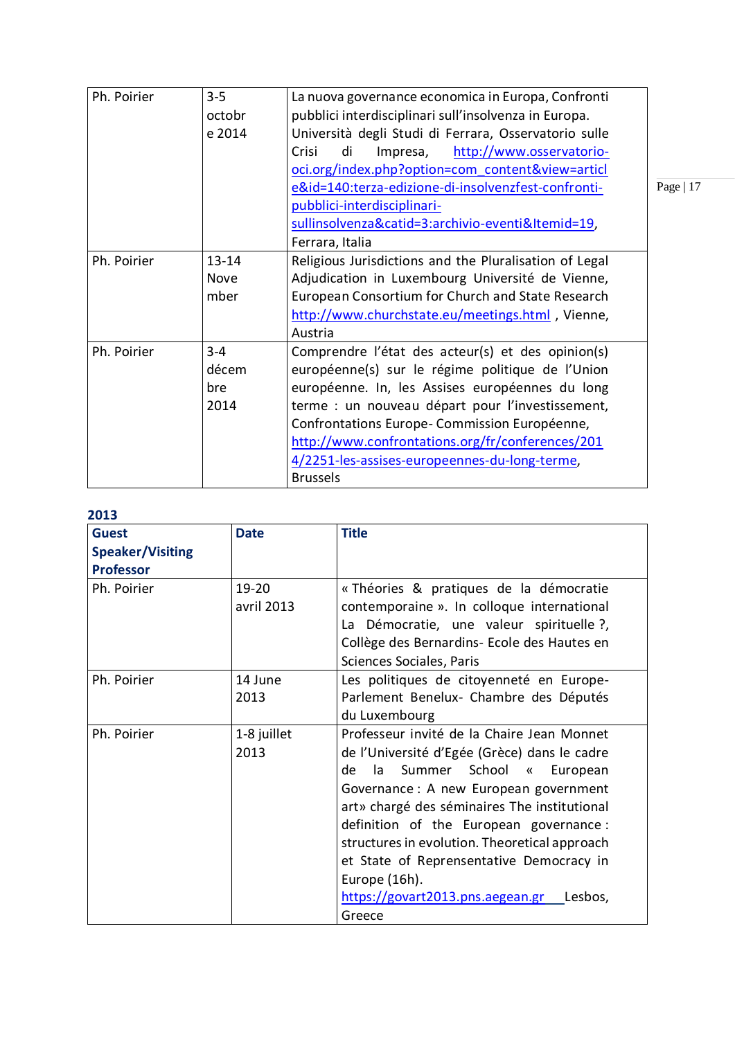| Ph. Poirier | $3 - 5$   | La nuova governance economica in Europa, Confronti     |       |
|-------------|-----------|--------------------------------------------------------|-------|
|             | octobr    | pubblici interdisciplinari sull'insolvenza in Europa.  |       |
|             | e 2014    | Università degli Studi di Ferrara, Osservatorio sulle  |       |
|             |           | Crisi<br>di<br>http://www.osservatorio-<br>Impresa,    |       |
|             |           | oci.org/index.php?option=com content&view=articl       |       |
|             |           | e&id=140:terza-edizione-di-insolvenzfest-confronti-    | $P_i$ |
|             |           | pubblici-interdisciplinari-                            |       |
|             |           | sullinsolvenza&catid=3:archivio-eventi&Itemid=19,      |       |
|             |           | Ferrara, Italia                                        |       |
| Ph. Poirier | $13 - 14$ | Religious Jurisdictions and the Pluralisation of Legal |       |
|             | Nove      | Adjudication in Luxembourg Université de Vienne,       |       |
|             | mber      | European Consortium for Church and State Research      |       |
|             |           | http://www.churchstate.eu/meetings.html, Vienne,       |       |
|             |           | Austria                                                |       |
| Ph. Poirier | $3 - 4$   | Comprendre l'état des acteur(s) et des opinion(s)      |       |
|             | décem     | européenne(s) sur le régime politique de l'Union       |       |
|             | bre       | européenne. In, les Assises européennes du long        |       |
|             | 2014      | terme : un nouveau départ pour l'investissement,       |       |
|             |           | Confrontations Europe-Commission Européenne,           |       |
|             |           | http://www.confrontations.org/fr/conferences/201       |       |
|             |           | 4/2251-les-assises-europeennes-du-long-terme,          |       |
|             |           | <b>Brussels</b>                                        |       |
|             |           |                                                        |       |

| ᄼᇰᇰ                     |                     |                                                                                                                                                                                                                                                                                                                                                                                                                                                 |
|-------------------------|---------------------|-------------------------------------------------------------------------------------------------------------------------------------------------------------------------------------------------------------------------------------------------------------------------------------------------------------------------------------------------------------------------------------------------------------------------------------------------|
| <b>Guest</b>            | <b>Date</b>         | <b>Title</b>                                                                                                                                                                                                                                                                                                                                                                                                                                    |
| <b>Speaker/Visiting</b> |                     |                                                                                                                                                                                                                                                                                                                                                                                                                                                 |
| <b>Professor</b>        |                     |                                                                                                                                                                                                                                                                                                                                                                                                                                                 |
| Ph. Poirier             | 19-20<br>avril 2013 | « Théories & pratiques de la démocratie<br>contemporaine ». In colloque international<br>La Démocratie, une valeur spirituelle ?,<br>Collège des Bernardins- Ecole des Hautes en<br>Sciences Sociales, Paris                                                                                                                                                                                                                                    |
| Ph. Poirier             | 14 June<br>2013     | Les politiques de citoyenneté en Europe-<br>Parlement Benelux- Chambre des Députés<br>du Luxembourg                                                                                                                                                                                                                                                                                                                                             |
| Ph. Poirier             | 1-8 juillet<br>2013 | Professeur invité de la Chaire Jean Monnet<br>de l'Université d'Egée (Grèce) dans le cadre<br>Summer School «<br>de<br>la<br>European<br>Governance: A new European government<br>art» chargé des séminaires The institutional<br>definition of the European governance:<br>structures in evolution. Theoretical approach<br>et State of Reprensentative Democracy in<br>Europe (16h).<br>https://govart2013.pns.aegean.gr<br>Lesbos,<br>Greece |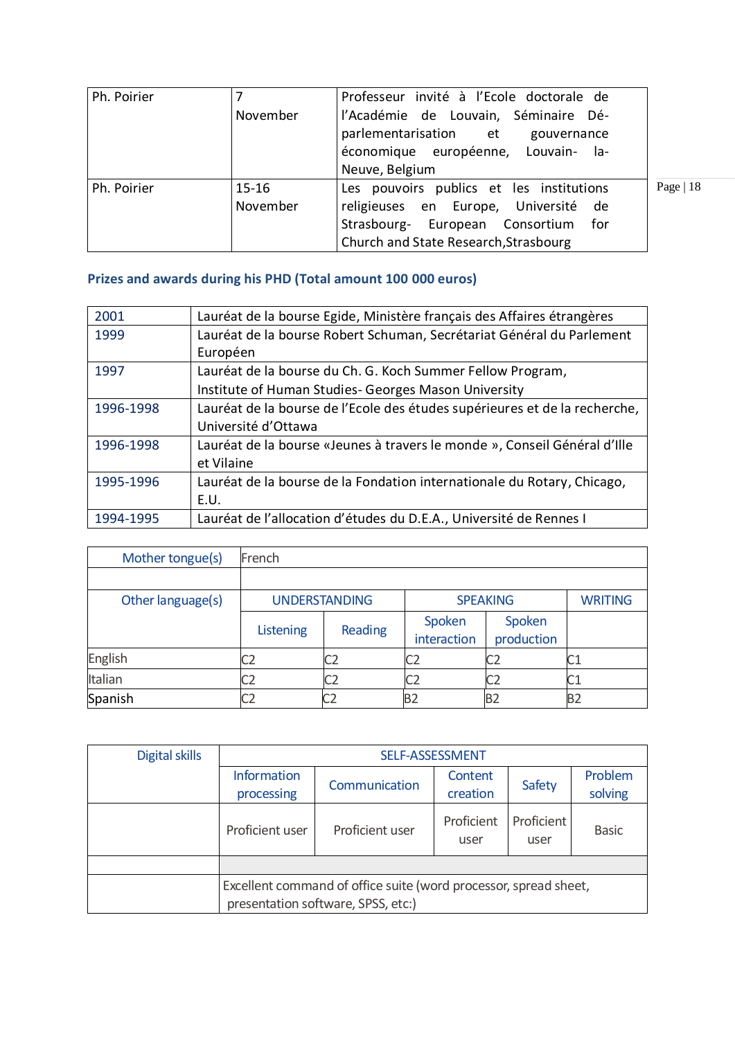| Ph. Poirier |          | Professeur invité à l'Ecole doctorale de |             |
|-------------|----------|------------------------------------------|-------------|
|             | November | l'Académie de Louvain, Séminaire Dé-     |             |
|             |          | parlementarisation et gouvernance        |             |
|             |          | économique européenne, Louvain- la-      |             |
|             |          | Neuve, Belgium                           |             |
| Ph. Poirier | $15-16$  | Les pouvoirs publics et les institutions | Page   $18$ |
|             | November | religieuses en Europe, Université de     |             |
|             |          | Strasbourg- European Consortium<br>for   |             |
|             |          | Church and State Research, Strasbourg    |             |

# **Prizes and awards during his PHD (Total amount 100 000 euros)**

| 2001      | Lauréat de la bourse Egide, Ministère français des Affaires étrangères     |
|-----------|----------------------------------------------------------------------------|
| 1999      | Lauréat de la bourse Robert Schuman, Secrétariat Général du Parlement      |
|           | Européen                                                                   |
| 1997      | Lauréat de la bourse du Ch. G. Koch Summer Fellow Program,                 |
|           | Institute of Human Studies- Georges Mason University                       |
| 1996-1998 | Lauréat de la bourse de l'Ecole des études supérieures et de la recherche, |
|           | Université d'Ottawa                                                        |
| 1996-1998 | Lauréat de la bourse «Jeunes à travers le monde », Conseil Général d'Ille  |
|           | et Vilaine                                                                 |
| 1995-1996 | Lauréat de la bourse de la Fondation internationale du Rotary, Chicago,    |
|           | E.U.                                                                       |
| 1994-1995 | Lauréat de l'allocation d'études du D.E.A., Université de Rennes I         |

| Mother tongue(s)  | French               |                |                 |            |                |
|-------------------|----------------------|----------------|-----------------|------------|----------------|
|                   |                      |                |                 |            |                |
| Other language(s) | <b>UNDERSTANDING</b> |                | <b>SPEAKING</b> |            | <b>WRITING</b> |
|                   | Listening            | Reading        | Spoken          | Spoken     |                |
|                   |                      |                | interaction     | production |                |
| English           |                      | C <sub>2</sub> | C2              | C2         | ιUΙ            |
| Italian           |                      | C2             | C2              | C2         | C1             |
| Spanish           |                      | C <sub>2</sub> | B <sub>2</sub>  | <b>B2</b>  | <b>B2</b>      |

| Digital skills | SELF-ASSESSMENT                                                                                        |                 |                    |                    |              |  |
|----------------|--------------------------------------------------------------------------------------------------------|-----------------|--------------------|--------------------|--------------|--|
|                | <b>Information</b>                                                                                     | Communication   | Content            | Safety             | Problem      |  |
|                | processing                                                                                             |                 | creation           |                    | solving      |  |
|                | Proficient user                                                                                        | Proficient user | Proficient<br>user | Proficient<br>user | <b>Basic</b> |  |
|                |                                                                                                        |                 |                    |                    |              |  |
|                | Excellent command of office suite (word processor, spread sheet,<br>presentation software, SPSS, etc:) |                 |                    |                    |              |  |